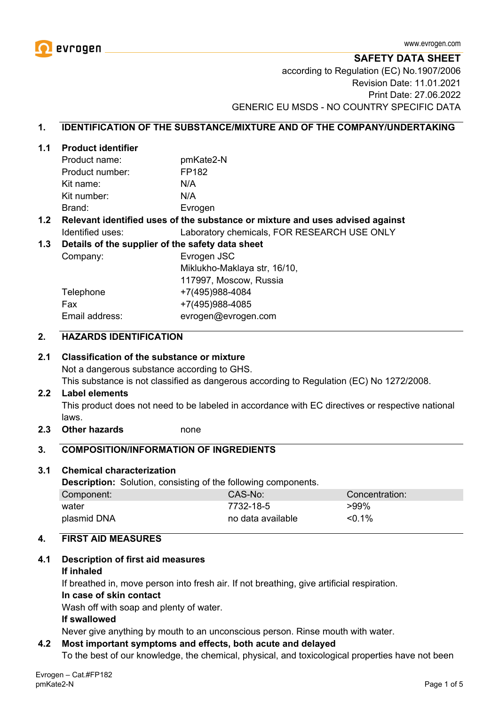

**SAFETY DATA SHEET**

according to Regulation (EC) No.1907/2006 Revision Date: 11.01.2021 Print Date: 27.06.2022 GENERIC EU MSDS - NO COUNTRY SPECIFIC DATA

#### **1. IDENTIFICATION OF THE SUBSTANCE/MIXTURE AND OF THE COMPANY/UNDERTAKING**

#### **1.1 Product identifier**

| Product name:   | pmKate2-N |
|-----------------|-----------|
| Product number: | FP182     |
| Kit name:       | N/A       |
| Kit number:     | N/A       |
| Brand:          | Evrogen   |

### **1.2 Relevant identified uses of the substance or mixture and uses advised against** Identified uses: Laboratory chemicals, FOR RESEARCH USE ONLY

#### **1.3 Details of the supplier of the safety data sheet**

Company: Evrogen JSC Miklukho-Maklaya str, 16/10, 117997, Moscow, Russia Telephone +7(495)988-4084 Fax +7(495)988-4085 Email address: evrogen@evrogen.com

#### **2. HAZARDS IDENTIFICATION**

#### **2.1 Classification of the substance or mixture**

Not a dangerous substance according to GHS.

This substance is not classified as dangerous according to Regulation (EC) No 1272/2008.

#### **2.2 Label elements**

This product does not need to be labeled in accordance with EC directives or respective national laws.

**2.3 Other hazards** none

#### **3. COMPOSITION/INFORMATION OF INGREDIENTS**

#### **3.1 Chemical characterization**

**Description:** Solution, consisting of the following components.

| Component:  | CAS-No:           | Concentration: |
|-------------|-------------------|----------------|
| water       | 7732-18-5         | $>99\%$        |
| plasmid DNA | no data available | $< 0.1\%$      |

### **4. FIRST AID MEASURES**

#### **4.1 Description of first aid measures**

#### **If inhaled**

If breathed in, move person into fresh air. If not breathing, give artificial respiration.

#### **In case of skin contact**

Wash off with soap and plenty of water.

#### **If swallowed**

Never give anything by mouth to an unconscious person. Rinse mouth with water.

#### **4.2 Most important symptoms and effects, both acute and delayed**

To the best of our knowledge, the chemical, physical, and toxicological properties have not been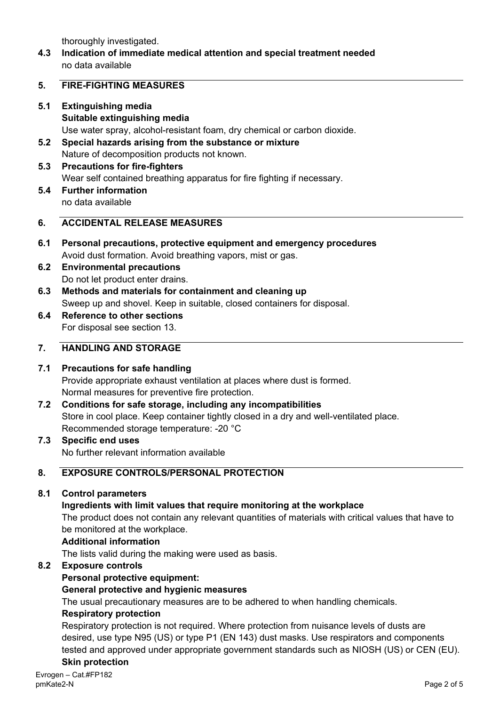thoroughly investigated.

**4.3 Indication of immediate medical attention and special treatment needed** no data available

### **5. FIRE-FIGHTING MEASURES**

- **5.1 Extinguishing media Suitable extinguishing media** Use water spray, alcohol-resistant foam, dry chemical or carbon dioxide.
- **5.2 Special hazards arising from the substance or mixture** Nature of decomposition products not known.
- **5.3 Precautions for fire-fighters** Wear self contained breathing apparatus for fire fighting if necessary.
- **5.4 Further information** no data available

## **6. ACCIDENTAL RELEASE MEASURES**

- **6.1 Personal precautions, protective equipment and emergency procedures** Avoid dust formation. Avoid breathing vapors, mist or gas.
- **6.2 Environmental precautions** Do not let product enter drains.
- **6.3 Methods and materials for containment and cleaning up** Sweep up and shovel. Keep in suitable, closed containers for disposal.
- **6.4 Reference to other sections** For disposal see section 13.

## **7. HANDLING AND STORAGE**

## **7.1 Precautions for safe handling**

Provide appropriate exhaust ventilation at places where dust is formed. Normal measures for preventive fire protection.

- **7.2 Conditions for safe storage, including any incompatibilities** Store in cool place. Keep container tightly closed in a dry and well-ventilated place. Recommended storage temperature: -20 °C
- **7.3 Specific end uses** No further relevant information available

# **8. EXPOSURE CONTROLS/PERSONAL PROTECTION**

**8.1 Control parameters**

## **Ingredients with limit values that require monitoring at the workplace**

The product does not contain any relevant quantities of materials with critical values that have to be monitored at the workplace.

#### **Additional information**

The lists valid during the making were used as basis.

## **8.2 Exposure controls**

## **Personal protective equipment:**

## **General protective and hygienic measures**

The usual precautionary measures are to be adhered to when handling chemicals.

#### **Respiratory protection**

Respiratory protection is not required. Where protection from nuisance levels of dusts are desired, use type N95 (US) or type P1 (EN 143) dust masks. Use respirators and components tested and approved under appropriate government standards such as NIOSH (US) or CEN (EU). **Skin protection**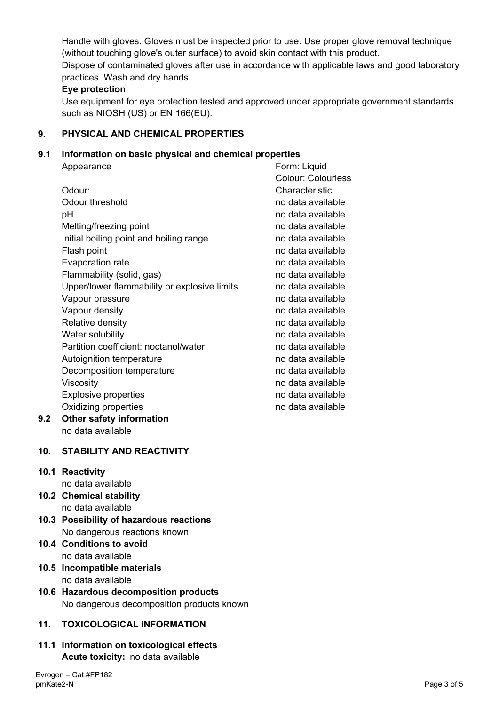Handle with gloves. Gloves must be inspected prior to use. Use proper glove removal technique (without touching glove's outer surface) to avoid skin contact with this product. Dispose of contaminated gloves after use in accordance with applicable laws and good laboratory practices. Wash and dry hands.

## **Eye protection**

Use equipment for eye protection tested and approved under appropriate government standards such as NIOSH (US) or EN 166(EU).

# **9. PHYSICAL AND CHEMICAL PROPERTIES**

## **9.1 Information on basic physical and chemical properties**

|     | Appearance                                   | Form: Liquid              |
|-----|----------------------------------------------|---------------------------|
|     |                                              | <b>Colour: Colourless</b> |
|     | Odour:                                       | Characteristic            |
|     | Odour threshold                              | no data available         |
|     | рH                                           | no data available         |
|     | Melting/freezing point                       | no data available         |
|     | Initial boiling point and boiling range      | no data available         |
|     | Flash point                                  | no data available         |
|     | Evaporation rate                             | no data available         |
|     | Flammability (solid, gas)                    | no data available         |
|     | Upper/lower flammability or explosive limits | no data available         |
|     | Vapour pressure                              | no data available         |
|     | Vapour density                               | no data available         |
|     | Relative density                             | no data available         |
|     | Water solubility                             | no data available         |
|     | Partition coefficient: noctanol/water        | no data available         |
|     | Autoignition temperature                     | no data available         |
|     | Decomposition temperature                    | no data available         |
|     | Viscosity                                    | no data available         |
|     | <b>Explosive properties</b>                  | no data available         |
|     | Oxidizing properties                         | no data available         |
| 9.2 | <b>Other safety information</b>              |                           |

no data available

# **10. STABILITY AND REACTIVITY**

# **10.1 Reactivity**

- no data available
- **10.2 Chemical stability** no data available
- **10.3 Possibility of hazardous reactions** No dangerous reactions known
- **10.4 Conditions to avoid** no data available
- **10.5 Incompatible materials** no data available
- **10.6 Hazardous decomposition products** No dangerous decomposition products known

# **11. TOXICOLOGICAL INFORMATION**

**11.1 Information on toxicological effects Acute toxicity:** no data available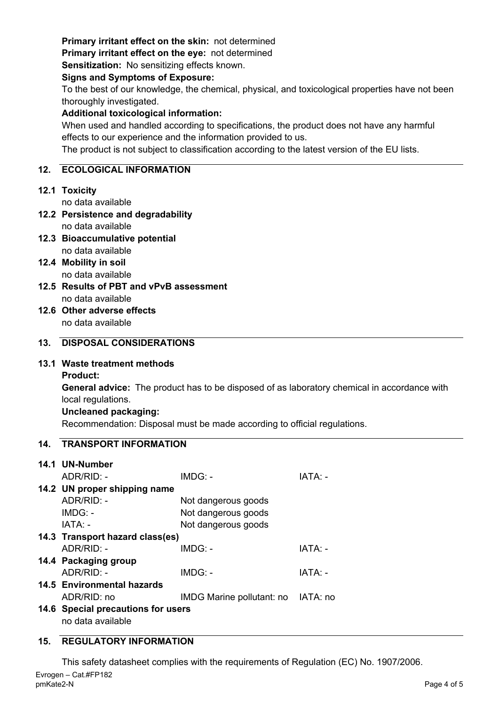# **Primary irritant effect on the skin:** not determined

**Primary irritant effect on the eye:** not determined

**Sensitization:** No sensitizing effects known.

### **Signs and Symptoms of Exposure:**

To the best of our knowledge, the chemical, physical, and toxicological properties have not been thoroughly investigated.

## **Additional toxicological information:**

When used and handled according to specifications, the product does not have any harmful effects to our experience and the information provided to us.

The product is not subject to classification according to the latest version of the EU lists.

## **12. ECOLOGICAL INFORMATION**

# **12.1 Toxicity**

no data available

- **12.2 Persistence and degradability** no data available
- **12.3 Bioaccumulative potential** no data available
- **12.4 Mobility in soil** no data available
- **12.5 Results of PBT and vPvB assessment** no data available
- **12.6 Other adverse effects** no data available

# **13. DISPOSAL CONSIDERATIONS**

## **13.1 Waste treatment methods**

**Product:**

**General advice:** The product has to be disposed of as laboratory chemical in accordance with local regulations.

## **Uncleaned packaging:**

Recommendation: Disposal must be made according to official regulations.

## **14. TRANSPORT INFORMATION**

| 14.1 UN-Number                     |                                    |                |  |  |
|------------------------------------|------------------------------------|----------------|--|--|
| ADR/RID: -                         | $IMDG: -$                          | IATA: -        |  |  |
| 14.2 UN proper shipping name       |                                    |                |  |  |
| $ADR/RID: -$                       | Not dangerous goods                |                |  |  |
| $IMDG: -$                          | Not dangerous goods                |                |  |  |
| IATA: -                            | Not dangerous goods                |                |  |  |
| 14.3 Transport hazard class(es)    |                                    |                |  |  |
| $ADR/RID -$                        | $IMDG: -$                          | IATA: -        |  |  |
| 14.4 Packaging group               |                                    |                |  |  |
| ADR/RID: -                         | $IMDG: -$                          | <b>IATA: -</b> |  |  |
| 14.5 Environmental hazards         |                                    |                |  |  |
| ADR/RID: no                        | IMDG Marine pollutant: no IATA: no |                |  |  |
| 14.6 Special precautions for users |                                    |                |  |  |
| no data available                  |                                    |                |  |  |

# **15. REGULATORY INFORMATION**

Evrogen – Cat.#FP182 pmKate2-N Page 4 of 5 This safety datasheet complies with the requirements of Regulation (EC) No. 1907/2006.